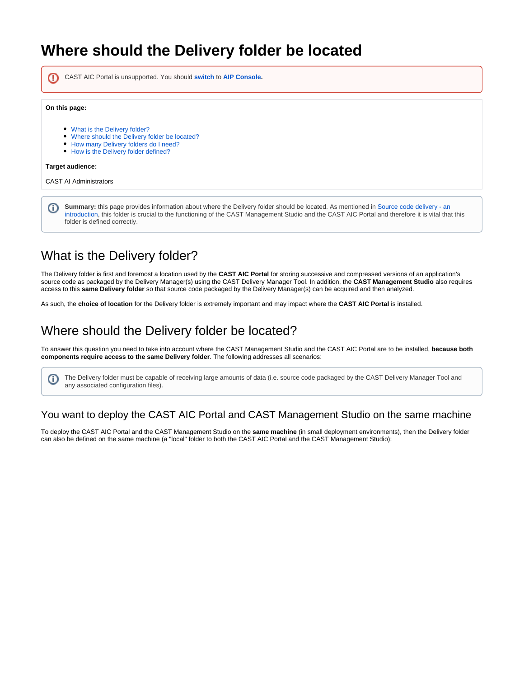# **Where should the Delivery folder be located**

CAST AIC Portal is unsupported. You should **switch** to **[AIP Console](https://doc.castsoftware.com/display/AIPCONSOLE/CAST+AIP+Console).** ⋒

#### **On this page:**

- [What is the Delivery folder?](#page-0-0)
- [Where should the Delivery folder be located?](#page-0-1)
- [How many Delivery folders do I need?](#page-4-0)
- [How is the Delivery folder defined?](#page-4-1)

#### **Target audience:**

(i)

CAST AI Administrators

**Summary:** this page provides information about where the Delivery folder should be located. As mentioned in [Source code delivery - an](https://doc.castsoftware.com/display/DOC83/Source+code+delivery+-+an+introduction)  O) [introduction,](https://doc.castsoftware.com/display/DOC83/Source+code+delivery+-+an+introduction) this folder is crucial to the functioning of the CAST Management Studio and the CAST AIC Portal and therefore it is vital that this folder is defined correctly.

## <span id="page-0-0"></span>What is the Delivery folder?

The Delivery folder is first and foremost a location used by the **CAST AIC Portal** for storing successive and compressed versions of an application's source code as packaged by the Delivery Manager(s) using the CAST Delivery Manager Tool. In addition, the **CAST Management Studio** also requires access to this **same Delivery folder** so that source code packaged by the Delivery Manager(s) can be acquired and then analyzed.

As such, the **choice of location** for the Delivery folder is extremely important and may impact where the **CAST AIC Portal** is installed.

## <span id="page-0-1"></span>Where should the Delivery folder be located?

To answer this question you need to take into account where the CAST Management Studio and the CAST AIC Portal are to be installed, **because both components require access to the same Delivery folder**. The following addresses all scenarios:

The Delivery folder must be capable of receiving large amounts of data (i.e. source code packaged by the CAST Delivery Manager Tool and any associated configuration files).

### You want to deploy the CAST AIC Portal and CAST Management Studio on the same machine

To deploy the CAST AIC Portal and the CAST Management Studio on the **same machine** (in small deployment environments), then the Delivery folder can also be defined on the same machine (a "local" folder to both the CAST AIC Portal and the CAST Management Studio):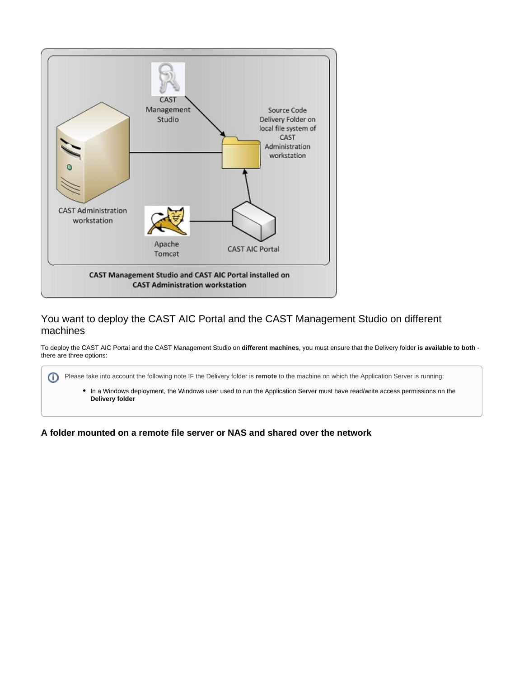

### You want to deploy the CAST AIC Portal and the CAST Management Studio on different machines

To deploy the CAST AIC Portal and the CAST Management Studio on **different machines**, you must ensure that the Delivery folder **is available to both** there are three options:

| Please take into account the following note IF the Delivery folder is remote to the machine on which the Application Server is running:          |
|--------------------------------------------------------------------------------------------------------------------------------------------------|
| • In a Windows deployment, the Windows user used to run the Application Server must have read/write access permissions on the<br>Delivery folder |

**A folder mounted on a remote file server or NAS and shared over the network**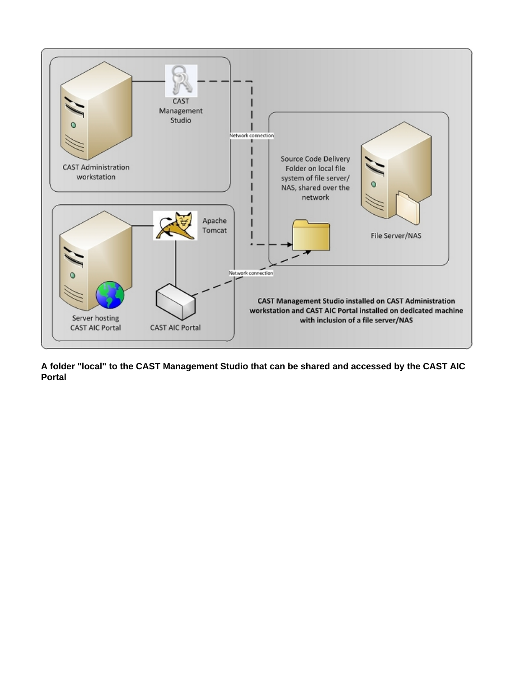

**A folder "local" to the CAST Management Studio that can be shared and accessed by the CAST AIC Portal**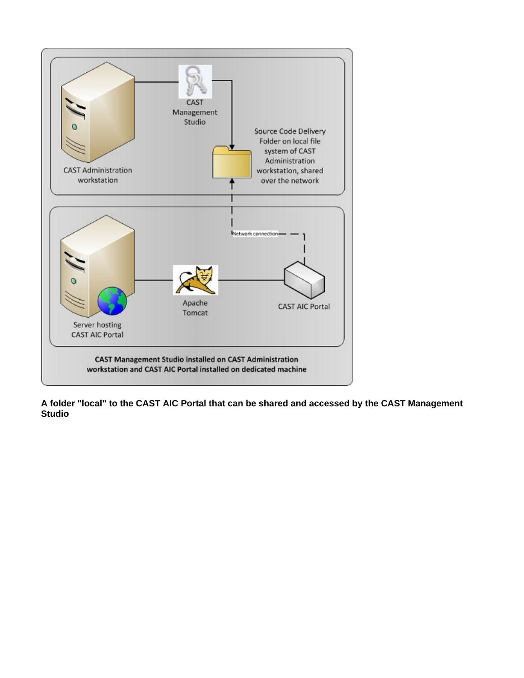

**A folder "local" to the CAST AIC Portal that can be shared and accessed by the CAST Management Studio**